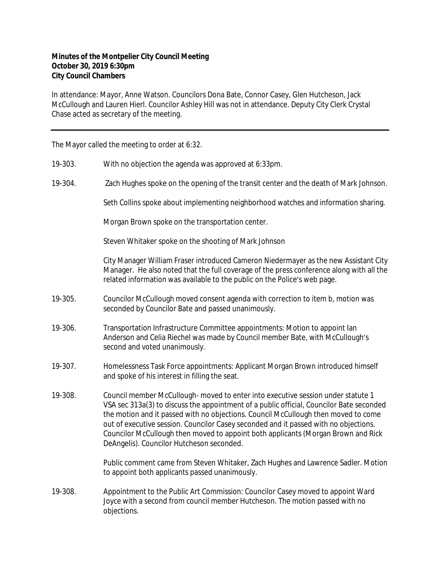## **Minutes of the Montpelier City Council Meeting October 30, 2019 6:30pm City Council Chambers**

In attendance: Mayor, Anne Watson. Councilors Dona Bate, Connor Casey, Glen Hutcheson, Jack McCullough and Lauren Hierl. Councilor Ashley Hill was not in attendance. Deputy City Clerk Crystal Chase acted as secretary of the meeting.

The Mayor called the meeting to order at 6:32.

- 19-303. With no objection the agenda was approved at 6:33pm.
- 19-304. Zach Hughes spoke on the opening of the transit center and the death of Mark Johnson.

Seth Collins spoke about implementing neighborhood watches and information sharing.

Morgan Brown spoke on the transportation center.

Steven Whitaker spoke on the shooting of Mark Johnson

City Manager William Fraser introduced Cameron Niedermayer as the new Assistant City Manager. He also noted that the full coverage of the press conference along with all the related information was available to the public on the Police's web page.

- 19-305. Councilor McCullough moved consent agenda with correction to item b, motion was seconded by Councilor Bate and passed unanimously.
- 19-306. Transportation Infrastructure Committee appointments: Motion to appoint Ian Anderson and Celia Riechel was made by Council member Bate, with McCullough's second and voted unanimously.
- 19-307. Homelessness Task Force appointments: Applicant Morgan Brown introduced himself and spoke of his interest in filling the seat.
- 19-308. Council member McCullough- moved to enter into executive session under statute 1 VSA sec 313a(3) to discuss the appointment of a public official, Councilor Bate seconded the motion and it passed with no objections. Council McCullough then moved to come out of executive session. Councilor Casey seconded and it passed with no objections. Councilor McCullough then moved to appoint both applicants (Morgan Brown and Rick DeAngelis). Councilor Hutcheson seconded.

Public comment came from Steven Whitaker, Zach Hughes and Lawrence Sadler. Motion to appoint both applicants passed unanimously.

19-308. Appointment to the Public Art Commission: Councilor Casey moved to appoint Ward Joyce with a second from council member Hutcheson. The motion passed with no objections.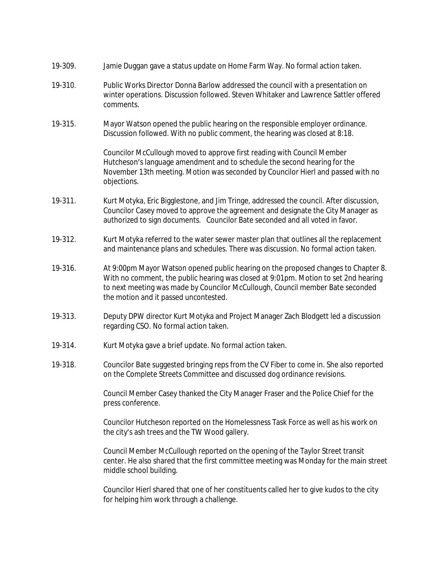| 19-309. | Jamie Duggan gave a status update on Home Farm Way. No formal action taken.                                                                                                                                                                                                                          |
|---------|------------------------------------------------------------------------------------------------------------------------------------------------------------------------------------------------------------------------------------------------------------------------------------------------------|
| 19-310. | Public Works Director Donna Barlow addressed the council with a presentation on<br>winter operations. Discussion followed. Steven Whitaker and Lawrence Sattler offered<br>comments.                                                                                                                 |
| 19-315. | Mayor Watson opened the public hearing on the responsible employer ordinance.<br>Discussion followed. With no public comment, the hearing was closed at 8:18.                                                                                                                                        |
|         | Councilor McCullough moved to approve first reading with Council Member<br>Hutcheson's language amendment and to schedule the second hearing for the<br>November 13th meeting. Motion was seconded by Councilor Hierl and passed with no<br>objections.                                              |
| 19-311. | Kurt Motyka, Eric Bigglestone, and Jim Tringe, addressed the council. After discussion,<br>Councilor Casey moved to approve the agreement and designate the City Manager as<br>authorized to sign documents. Councilor Bate seconded and all voted in favor.                                         |
| 19-312. | Kurt Motyka referred to the water sewer master plan that outlines all the replacement<br>and maintenance plans and schedules. There was discussion. No formal action taken.                                                                                                                          |
| 19-316. | At 9:00pm Mayor Watson opened public hearing on the proposed changes to Chapter 8.<br>With no comment, the public hearing was closed at 9:01pm. Motion to set 2nd hearing<br>to next meeting was made by Councilor McCullough, Council member Bate seconded<br>the motion and it passed uncontested. |
| 19-313. | Deputy DPW director Kurt Motyka and Project Manager Zach Blodgett led a discussion<br>regarding CSO. No formal action taken.                                                                                                                                                                         |
| 19-314. | Kurt Motyka gave a brief update. No formal action taken.                                                                                                                                                                                                                                             |
| 19-318. | Councilor Bate suggested bringing reps from the CV Fiber to come in. She also reported<br>on the Complete Streets Committee and discussed dog ordinance revisions.                                                                                                                                   |
|         | Council Member Casey thanked the City Manager Fraser and the Police Chief for the<br>press conference.                                                                                                                                                                                               |
|         | Councilor Hutcheson reported on the Homelessness Task Force as well as his work on<br>the city's ash trees and the TW Wood gallery.                                                                                                                                                                  |
|         | Council Member McCullough reported on the opening of the Taylor Street transit<br>center. He also shared that the first committee meeting was Monday for the main street<br>middle school building.                                                                                                  |
|         | Councilor Hierl shared that one of her constituents called her to give kudos to the city<br>for helping him work through a challenge.                                                                                                                                                                |